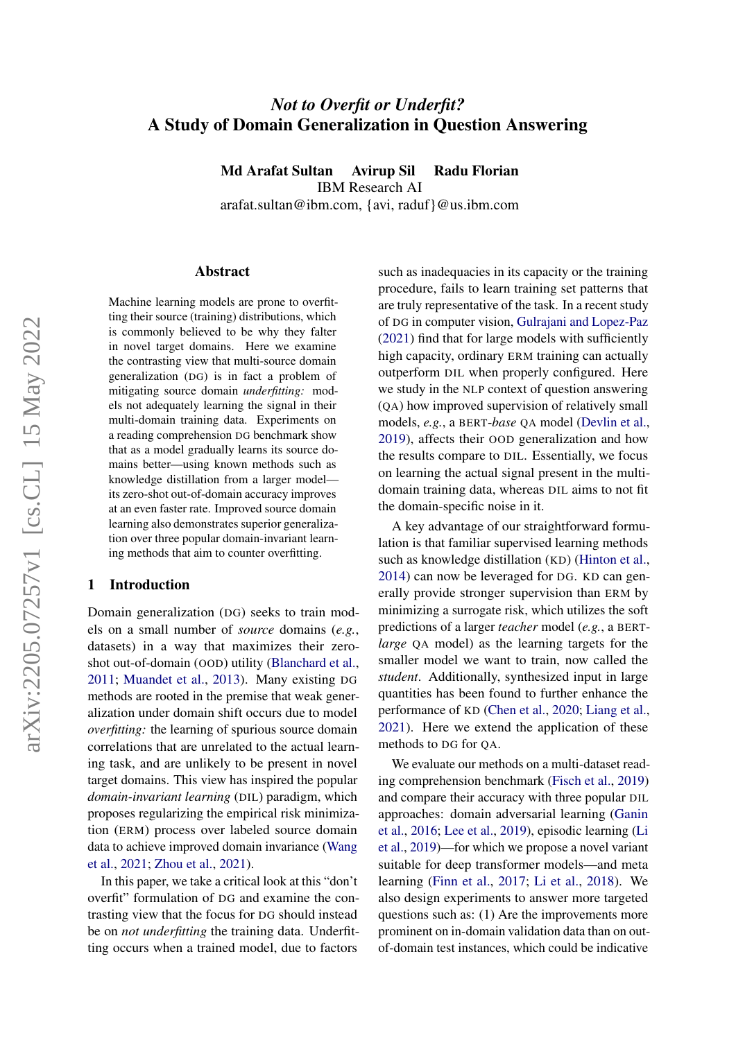# *Not to Overfit or Underfit?* A Study of Domain Generalization in Question Answering

Md Arafat Sultan Avirup Sil Radu Florian

IBM Research AI

arafat.sultan@ibm.com, {avi, raduf}@us.ibm.com

#### Abstract

Machine learning models are prone to overfitting their source (training) distributions, which is commonly believed to be why they falter in novel target domains. Here we examine the contrasting view that multi-source domain generalization (DG) is in fact a problem of mitigating source domain *underfitting:* models not adequately learning the signal in their multi-domain training data. Experiments on a reading comprehension DG benchmark show that as a model gradually learns its source domains better—using known methods such as knowledge distillation from a larger model its zero-shot out-of-domain accuracy improves at an even faster rate. Improved source domain learning also demonstrates superior generalization over three popular domain-invariant learning methods that aim to counter overfitting.

### <span id="page-0-0"></span>1 Introduction

Domain generalization (DG) seeks to train models on a small number of *source* domains (*e.g.*, datasets) in a way that maximizes their zeroshot out-of-domain (OOD) utility [\(Blanchard et al.,](#page-4-0) [2011;](#page-4-0) [Muandet et al.,](#page-5-0) [2013\)](#page-5-0). Many existing DG methods are rooted in the premise that weak generalization under domain shift occurs due to model *overfitting:* the learning of spurious source domain correlations that are unrelated to the actual learning task, and are unlikely to be present in novel target domains. This view has inspired the popular *domain-invariant learning* (DIL) paradigm, which proposes regularizing the empirical risk minimization (ERM) process over labeled source domain data to achieve improved domain invariance [\(Wang](#page-5-1) [et al.,](#page-5-1) [2021;](#page-5-1) [Zhou et al.,](#page-5-2) [2021\)](#page-5-2).

In this paper, we take a critical look at this "don't overfit" formulation of DG and examine the contrasting view that the focus for DG should instead be on *not underfitting* the training data. Underfitting occurs when a trained model, due to factors such as inadequacies in its capacity or the training procedure, fails to learn training set patterns that are truly representative of the task. In a recent study of DG in computer vision, [Gulrajani and Lopez-Paz](#page-4-1) [\(2021\)](#page-4-1) find that for large models with sufficiently high capacity, ordinary ERM training can actually outperform DIL when properly configured. Here we study in the NLP context of question answering (QA) how improved supervision of relatively small models, *e.g.*, a BERT-*base* QA model [\(Devlin et al.,](#page-4-2) [2019\)](#page-4-2), affects their OOD generalization and how the results compare to DIL. Essentially, we focus on learning the actual signal present in the multidomain training data, whereas DIL aims to not fit the domain-specific noise in it.

A key advantage of our straightforward formulation is that familiar supervised learning methods such as knowledge distillation (KD) [\(Hinton et al.,](#page-4-3) [2014\)](#page-4-3) can now be leveraged for DG. KD can generally provide stronger supervision than ERM by minimizing a surrogate risk, which utilizes the soft predictions of a larger *teacher* model (*e.g.*, a BERT*large* QA model) as the learning targets for the smaller model we want to train, now called the *student*. Additionally, synthesized input in large quantities has been found to further enhance the performance of KD [\(Chen et al.,](#page-4-4) [2020;](#page-4-4) [Liang et al.,](#page-4-5) [2021\)](#page-4-5). Here we extend the application of these methods to DG for QA.

We evaluate our methods on a multi-dataset reading comprehension benchmark [\(Fisch et al.,](#page-4-6) [2019\)](#page-4-6) and compare their accuracy with three popular DIL approaches: domain adversarial learning [\(Ganin](#page-4-7) [et al.,](#page-4-7) [2016;](#page-4-7) [Lee et al.,](#page-4-8) [2019\)](#page-4-8), episodic learning [\(Li](#page-4-9) [et al.,](#page-4-9) [2019\)](#page-4-9)—for which we propose a novel variant suitable for deep transformer models—and meta learning [\(Finn et al.,](#page-4-10) [2017;](#page-4-10) [Li et al.,](#page-4-11) [2018\)](#page-4-11). We also design experiments to answer more targeted questions such as: (1) Are the improvements more prominent on in-domain validation data than on outof-domain test instances, which could be indicative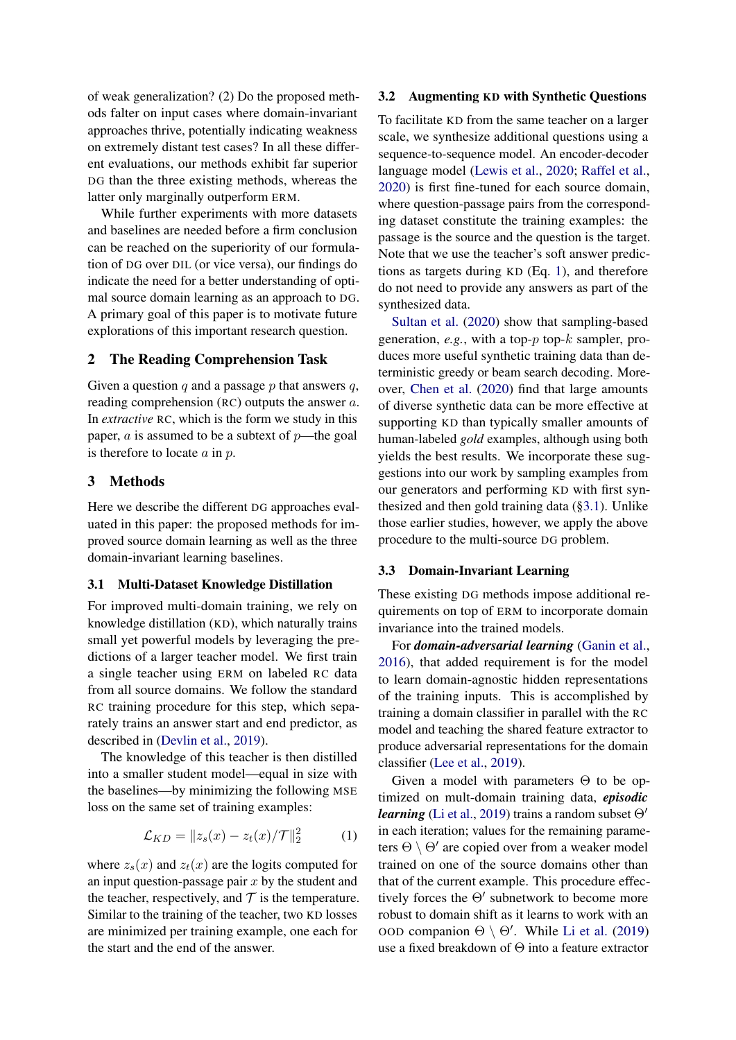of weak generalization? (2) Do the proposed methods falter on input cases where domain-invariant approaches thrive, potentially indicating weakness on extremely distant test cases? In all these different evaluations, our methods exhibit far superior DG than the three existing methods, whereas the latter only marginally outperform ERM.

While further experiments with more datasets and baselines are needed before a firm conclusion can be reached on the superiority of our formulation of DG over DIL (or vice versa), our findings do indicate the need for a better understanding of optimal source domain learning as an approach to DG. A primary goal of this paper is to motivate future explorations of this important research question.

### 2 The Reading Comprehension Task

Given a question q and a passage  $p$  that answers  $q$ , reading comprehension (RC) outputs the answer a. In *extractive* RC, which is the form we study in this paper,  $\alpha$  is assumed to be a subtext of  $p$ —the goal is therefore to locate  $a$  in  $p$ .

### 3 Methods

Here we describe the different DG approaches evaluated in this paper: the proposed methods for improved source domain learning as well as the three domain-invariant learning baselines.

### <span id="page-1-1"></span>3.1 Multi-Dataset Knowledge Distillation

For improved multi-domain training, we rely on knowledge distillation (KD), which naturally trains small yet powerful models by leveraging the predictions of a larger teacher model. We first train a single teacher using ERM on labeled RC data from all source domains. We follow the standard RC training procedure for this step, which separately trains an answer start and end predictor, as described in [\(Devlin et al.,](#page-4-2) [2019\)](#page-4-2).

The knowledge of this teacher is then distilled into a smaller student model—equal in size with the baselines—by minimizing the following MSE loss on the same set of training examples:

<span id="page-1-0"></span>
$$
\mathcal{L}_{KD} = \|z_s(x) - z_t(x) / \mathcal{T}\|_2^2 \tag{1}
$$

where  $z_s(x)$  and  $z_t(x)$  are the logits computed for an input question-passage pair  $x$  by the student and the teacher, respectively, and  $T$  is the temperature. Similar to the training of the teacher, two KD losses are minimized per training example, one each for the start and the end of the answer.

### 3.2 Augmenting KD with Synthetic Questions

To facilitate KD from the same teacher on a larger scale, we synthesize additional questions using a sequence-to-sequence model. An encoder-decoder language model [\(Lewis et al.,](#page-4-12) [2020;](#page-4-12) [Raffel et al.,](#page-5-3) [2020\)](#page-5-3) is first fine-tuned for each source domain, where question-passage pairs from the corresponding dataset constitute the training examples: the passage is the source and the question is the target. Note that we use the teacher's soft answer predictions as targets during KD (Eq. [1\)](#page-1-0), and therefore do not need to provide any answers as part of the synthesized data.

[Sultan et al.](#page-5-4) [\(2020\)](#page-5-4) show that sampling-based generation,  $e.g.,$  with a top- $p$  top- $k$  sampler, produces more useful synthetic training data than deterministic greedy or beam search decoding. Moreover, [Chen et al.](#page-4-4) [\(2020\)](#page-4-4) find that large amounts of diverse synthetic data can be more effective at supporting KD than typically smaller amounts of human-labeled *gold* examples, although using both yields the best results. We incorporate these suggestions into our work by sampling examples from our generators and performing KD with first synthesized and then gold training data ([§3.1\)](#page-1-1). Unlike those earlier studies, however, we apply the above procedure to the multi-source DG problem.

#### 3.3 Domain-Invariant Learning

These existing DG methods impose additional requirements on top of ERM to incorporate domain invariance into the trained models.

For *domain-adversarial learning* [\(Ganin et al.,](#page-4-7) [2016\)](#page-4-7), that added requirement is for the model to learn domain-agnostic hidden representations of the training inputs. This is accomplished by training a domain classifier in parallel with the RC model and teaching the shared feature extractor to produce adversarial representations for the domain classifier [\(Lee et al.,](#page-4-8) [2019\)](#page-4-8).

Given a model with parameters Θ to be optimized on mult-domain training data, *episodic learning* [\(Li et al.,](#page-4-9) [2019\)](#page-4-9) trains a random subset  $\Theta'$ in each iteration; values for the remaining parameters  $\Theta \setminus \Theta'$  are copied over from a weaker model trained on one of the source domains other than that of the current example. This procedure effectively forces the  $\Theta'$  subnetwork to become more robust to domain shift as it learns to work with an OOD companion  $\Theta \setminus \Theta'$ . While [Li et al.](#page-4-9) [\(2019\)](#page-4-9) use a fixed breakdown of Θ into a feature extractor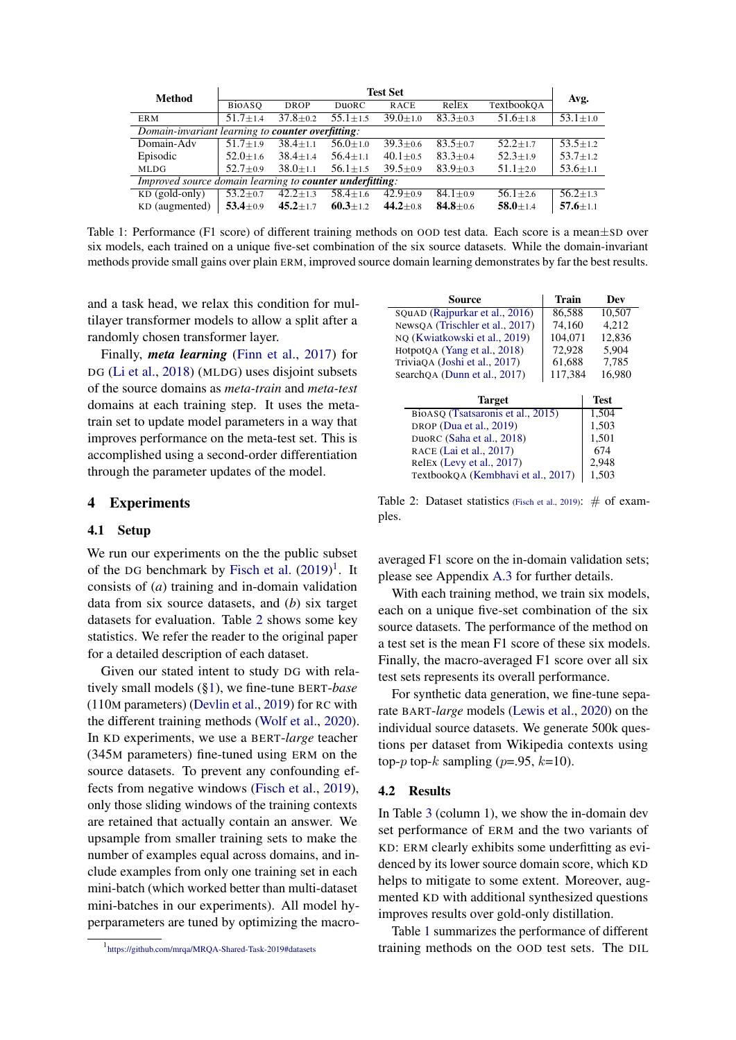<span id="page-2-2"></span>

| <b>Method</b>                                             | <b>Test Set</b> |                |                |                |                | Avg.           |                |
|-----------------------------------------------------------|-----------------|----------------|----------------|----------------|----------------|----------------|----------------|
|                                                           | <b>BiOASO</b>   | <b>DROP</b>    | DuoRC          | <b>RACE</b>    | RelEx          | TextbookOA     |                |
| <b>ERM</b>                                                | $51.7 + 1.4$    | $37.8 \pm 0.2$ | $55.1 \pm 1.5$ | $39.0 + 1.0$   | $83.3 \pm 0.3$ | $51.6 \pm 1.8$ | $53.1 \pm 1.0$ |
| Domain-invariant learning to <b>counter overfitting</b> : |                 |                |                |                |                |                |                |
| Domain-Adv                                                | $51.7 \pm 1.9$  | $38.4 \pm 1.1$ | $56.0 \pm 1.0$ | $39.3 \pm 0.6$ | $83.5 \pm 0.7$ | $52.2 \pm 1.7$ | $53.5 \pm 1.2$ |
| Episodic                                                  | $52.0 \pm 1.6$  | $38.4 \pm 1.4$ | $56.4 \pm 1.1$ | $40.1 \pm 0.5$ | $83.3 \pm 0.4$ | $52.3 \pm 1.9$ | $53.7 \pm 1.2$ |
| <b>MLDG</b>                                               | $52.7 \pm 0.9$  | $38.0 \pm 1.1$ | $56.1 \pm 1.5$ | $39.5 + 0.9$   | $83.9 + 0.3$   | $51.1 \pm 2.0$ | $53.6 \pm 1.1$ |
| Improved source domain learning to counter underfitting:  |                 |                |                |                |                |                |                |
| $KD$ (gold-only)                                          | $53.2 \pm 0.7$  | $42.2 \pm 1.3$ | $58.4 \pm 1.6$ | $42.9 \pm 0.9$ | $84.1 + 0.9$   | $56.1 + 2.6$   | $56.2 + 1.3$   |
| KD (augmented)                                            | 53.4 $\pm$ 0.9  | $45.2 \pm 1.7$ | $60.3 \pm 1.2$ | 44.2 $\pm$ 0.8 | $84.8 \pm 0.6$ | $58.0 \pm 1.4$ | $57.6 \pm 1.1$ |

Table 1: Performance (F1 score) of different training methods on OOD test data. Each score is a mean±SD over six models, each trained on a unique five-set combination of the six source datasets. While the domain-invariant methods provide small gains over plain ERM, improved source domain learning demonstrates by far the best results.

and a task head, we relax this condition for multilayer transformer models to allow a split after a randomly chosen transformer layer.

Finally, *meta learning* [\(Finn et al.,](#page-4-10) [2017\)](#page-4-10) for DG [\(Li et al.,](#page-4-11) [2018\)](#page-4-11) (MLDG) uses disjoint subsets of the source domains as *meta-train* and *meta-test* domains at each training step. It uses the metatrain set to update model parameters in a way that improves performance on the meta-test set. This is accomplished using a second-order differentiation through the parameter updates of the model.

### 4 Experiments

#### 4.1 Setup

We run our experiments on the the public subset of the DG benchmark by [Fisch et al.](#page-4-6)  $(2019)^1$  $(2019)^1$  $(2019)^1$ . It consists of (*a*) training and in-domain validation data from six source datasets, and (*b*) six target datasets for evaluation. Table [2](#page-2-1) shows some key statistics. We refer the reader to the original paper for a detailed description of each dataset.

Given our stated intent to study DG with relatively small models ([§1\)](#page-0-0), we fine-tune BERT-*base* (110M parameters) [\(Devlin et al.,](#page-4-2) [2019\)](#page-4-2) for RC with the different training methods [\(Wolf et al.,](#page-5-5) [2020\)](#page-5-5). In KD experiments, we use a BERT-*large* teacher (345M parameters) fine-tuned using ERM on the source datasets. To prevent any confounding effects from negative windows [\(Fisch et al.,](#page-4-6) [2019\)](#page-4-6), only those sliding windows of the training contexts are retained that actually contain an answer. We upsample from smaller training sets to make the number of examples equal across domains, and include examples from only one training set in each mini-batch (which worked better than multi-dataset mini-batches in our experiments). All model hyperparameters are tuned by optimizing the macro-

<span id="page-2-1"></span>

| Source                          | Train   | Dev    |
|---------------------------------|---------|--------|
| SQuAD (Rajpurkar et al., 2016)  | 86.588  | 10.507 |
| NewsQA (Trischler et al., 2017) | 74,160  | 4.212  |
| NQ (Kwiatkowski et al., 2019)   | 104,071 | 12,836 |
| HotpotQA (Yang et al., 2018)    | 72,928  | 5.904  |
| TriviaOA (Joshi et al., 2017)   | 61,688  | 7,785  |
| searchQA (Dunn et al., 2017)    | 117,384 | 16.980 |
| $\blacksquare$                  |         |        |

| <b>Target</b>                      | <b>Test</b> |
|------------------------------------|-------------|
| BioASQ (Tsatsaronis et al., 2015)  | 1.504       |
| DROP (Dua et al., 2019)            | 1,503       |
| DuoRC (Saha et al., 2018)          | 1,501       |
| RACE (Lai et al., 2017)            | 674         |
| Relex (Levy et al., 2017)          | 2.948       |
| TextbookOA (Kembhavi et al., 2017) | 1,503       |

Table 2: Dataset statistics [\(Fisch et al.,](#page-4-6) [2019\)](#page-4-6):  $\#$  of examples.

averaged F1 score on the in-domain validation sets; please see Appendix [A.3](#page-6-0) for further details.

With each training method, we train six models, each on a unique five-set combination of the six source datasets. The performance of the method on a test set is the mean F1 score of these six models. Finally, the macro-averaged F1 score over all six test sets represents its overall performance.

For synthetic data generation, we fine-tune separate BART-*large* models [\(Lewis et al.,](#page-4-12) [2020\)](#page-4-12) on the individual source datasets. We generate 500k questions per dataset from Wikipedia contexts using top- $p$  top- $k$  sampling ( $p=0.95$ ,  $k=10$ ).

#### 4.2 Results

In Table [3](#page-3-0) (column 1), we show the in-domain dev set performance of ERM and the two variants of KD: ERM clearly exhibits some underfitting as evidenced by its lower source domain score, which KD helps to mitigate to some extent. Moreover, augmented KD with additional synthesized questions improves results over gold-only distillation.

Table [1](#page-2-2) summarizes the performance of different training methods on the OOD test sets. The DIL

<span id="page-2-0"></span><sup>1</sup> <https://github.com/mrqa/MRQA-Shared-Task-2019#datasets>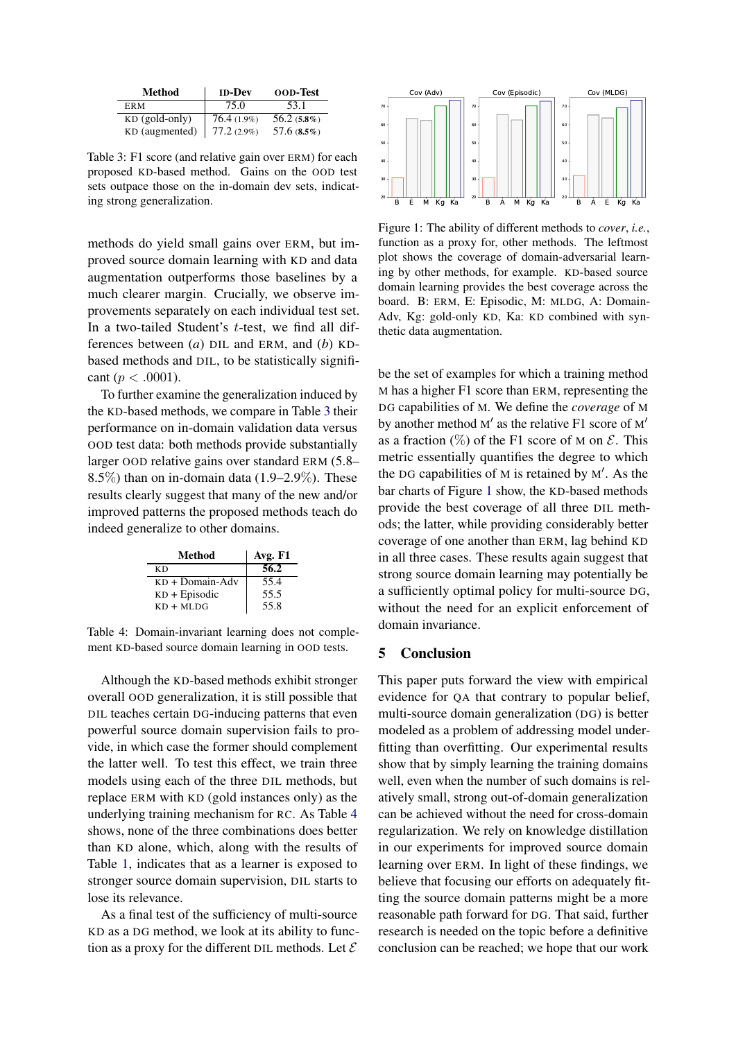<span id="page-3-0"></span>

| Method           | <b>ID-Dev</b> | <b>OOD-Test</b> |
|------------------|---------------|-----------------|
| ER M             | 75.0          | 53.1            |
| $KD$ (gold-only) | $76.4(1.9\%)$ | $56.2(5.8\%)$   |
| KD (augmented)   | $77.2(2.9\%)$ | 57.6(8.5%)      |

Table 3: F1 score (and relative gain over ERM) for each proposed KD-based method. Gains on the OOD test sets outpace those on the in-domain dev sets, indicating strong generalization.

methods do yield small gains over ERM, but improved source domain learning with KD and data augmentation outperforms those baselines by a much clearer margin. Crucially, we observe improvements separately on each individual test set. In a two-tailed Student's t-test, we find all differences between (*a*) DIL and ERM, and (*b*) KDbased methods and DIL, to be statistically significant ( $p < .0001$ ).

To further examine the generalization induced by the KD-based methods, we compare in Table [3](#page-3-0) their performance on in-domain validation data versus OOD test data: both methods provide substantially larger OOD relative gains over standard ERM (5.8–  $8.5\%$ ) than on in-domain data (1.9–2.9%). These results clearly suggest that many of the new and/or improved patterns the proposed methods teach do indeed generalize to other domains.

<span id="page-3-1"></span>

| Method            | Avg. F1 |
|-------------------|---------|
| КD                | 56.2    |
| $KD + Domain-Adv$ | 55.4    |
| $KD + Episodic$   | 55.5    |
| $KD + MLDG$       | 55.8    |

Table 4: Domain-invariant learning does not complement KD-based source domain learning in OOD tests.

Although the KD-based methods exhibit stronger overall OOD generalization, it is still possible that DIL teaches certain DG-inducing patterns that even powerful source domain supervision fails to provide, in which case the former should complement the latter well. To test this effect, we train three models using each of the three DIL methods, but replace ERM with KD (gold instances only) as the underlying training mechanism for RC. As Table [4](#page-3-1) shows, none of the three combinations does better than KD alone, which, along with the results of Table [1,](#page-2-2) indicates that as a learner is exposed to stronger source domain supervision, DIL starts to lose its relevance.

As a final test of the sufficiency of multi-source KD as a DG method, we look at its ability to function as a proxy for the different DIL methods. Let  $\mathcal E$ 

<span id="page-3-2"></span>

Figure 1: The ability of different methods to *cover*, *i.e.*, function as a proxy for, other methods. The leftmost plot shows the coverage of domain-adversarial learning by other methods, for example. KD-based source domain learning provides the best coverage across the board. B: ERM, E: Episodic, M: MLDG, A: Domain-Adv, Kg: gold-only KD, Ka: KD combined with synthetic data augmentation.

be the set of examples for which a training method M has a higher F1 score than ERM, representing the DG capabilities of M. We define the *coverage* of M by another method  $M'$  as the relative F1 score of  $M'$ as a fraction  $(\%)$  of the F1 score of M on  $\mathcal{E}$ . This metric essentially quantifies the degree to which the DG capabilities of  $M$  is retained by  $M'$ . As the bar charts of Figure [1](#page-3-2) show, the KD-based methods provide the best coverage of all three DIL methods; the latter, while providing considerably better coverage of one another than ERM, lag behind KD in all three cases. These results again suggest that strong source domain learning may potentially be a sufficiently optimal policy for multi-source DG, without the need for an explicit enforcement of domain invariance.

#### 5 Conclusion

This paper puts forward the view with empirical evidence for QA that contrary to popular belief, multi-source domain generalization (DG) is better modeled as a problem of addressing model underfitting than overfitting. Our experimental results show that by simply learning the training domains well, even when the number of such domains is relatively small, strong out-of-domain generalization can be achieved without the need for cross-domain regularization. We rely on knowledge distillation in our experiments for improved source domain learning over ERM. In light of these findings, we believe that focusing our efforts on adequately fitting the source domain patterns might be a more reasonable path forward for DG. That said, further research is needed on the topic before a definitive conclusion can be reached; we hope that our work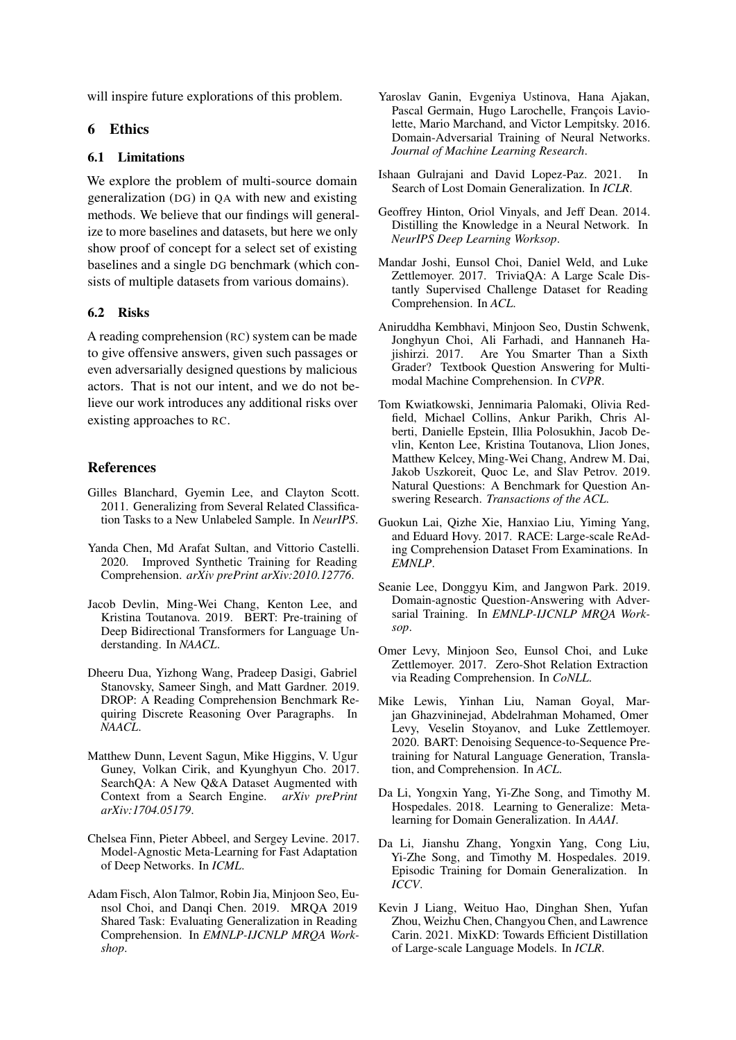will inspire future explorations of this problem.

## 6 Ethics

### 6.1 Limitations

We explore the problem of multi-source domain generalization (DG) in QA with new and existing methods. We believe that our findings will generalize to more baselines and datasets, but here we only show proof of concept for a select set of existing baselines and a single DG benchmark (which consists of multiple datasets from various domains).

### 6.2 Risks

A reading comprehension (RC) system can be made to give offensive answers, given such passages or even adversarially designed questions by malicious actors. That is not our intent, and we do not believe our work introduces any additional risks over existing approaches to RC.

### **References**

- <span id="page-4-0"></span>Gilles Blanchard, Gyemin Lee, and Clayton Scott. 2011. Generalizing from Several Related Classification Tasks to a New Unlabeled Sample. In *NeurIPS*.
- <span id="page-4-4"></span>Yanda Chen, Md Arafat Sultan, and Vittorio Castelli. 2020. Improved Synthetic Training for Reading Comprehension. *arXiv prePrint arXiv:2010.12776*.
- <span id="page-4-2"></span>Jacob Devlin, Ming-Wei Chang, Kenton Lee, and Kristina Toutanova. 2019. BERT: Pre-training of Deep Bidirectional Transformers for Language Understanding. In *NAACL*.
- <span id="page-4-16"></span>Dheeru Dua, Yizhong Wang, Pradeep Dasigi, Gabriel Stanovsky, Sameer Singh, and Matt Gardner. 2019. DROP: A Reading Comprehension Benchmark Requiring Discrete Reasoning Over Paragraphs. In *NAACL*.
- <span id="page-4-15"></span>Matthew Dunn, Levent Sagun, Mike Higgins, V. Ugur Guney, Volkan Cirik, and Kyunghyun Cho. 2017. SearchQA: A New Q&A Dataset Augmented with Context from a Search Engine. *arXiv prePrint arXiv:1704.05179*.
- <span id="page-4-10"></span>Chelsea Finn, Pieter Abbeel, and Sergey Levine. 2017. Model-Agnostic Meta-Learning for Fast Adaptation of Deep Networks. In *ICML*.
- <span id="page-4-6"></span>Adam Fisch, Alon Talmor, Robin Jia, Minjoon Seo, Eunsol Choi, and Danqi Chen. 2019. MRQA 2019 Shared Task: Evaluating Generalization in Reading Comprehension. In *EMNLP-IJCNLP MRQA Workshop*.
- <span id="page-4-7"></span>Yaroslav Ganin, Evgeniya Ustinova, Hana Ajakan, Pascal Germain, Hugo Larochelle, François Laviolette, Mario Marchand, and Victor Lempitsky. 2016. Domain-Adversarial Training of Neural Networks. *Journal of Machine Learning Research*.
- <span id="page-4-1"></span>Ishaan Gulrajani and David Lopez-Paz. 2021. In Search of Lost Domain Generalization. In *ICLR*.
- <span id="page-4-3"></span>Geoffrey Hinton, Oriol Vinyals, and Jeff Dean. 2014. Distilling the Knowledge in a Neural Network. In *NeurIPS Deep Learning Worksop*.
- <span id="page-4-14"></span>Mandar Joshi, Eunsol Choi, Daniel Weld, and Luke Zettlemoyer. 2017. TriviaQA: A Large Scale Distantly Supervised Challenge Dataset for Reading Comprehension. In *ACL*.
- <span id="page-4-19"></span>Aniruddha Kembhavi, Minjoon Seo, Dustin Schwenk, Jonghyun Choi, Ali Farhadi, and Hannaneh Hajishirzi. 2017. Are You Smarter Than a Sixth Grader? Textbook Question Answering for Multimodal Machine Comprehension. In *CVPR*.
- <span id="page-4-13"></span>Tom Kwiatkowski, Jennimaria Palomaki, Olivia Redfield, Michael Collins, Ankur Parikh, Chris Alberti, Danielle Epstein, Illia Polosukhin, Jacob Devlin, Kenton Lee, Kristina Toutanova, Llion Jones, Matthew Kelcey, Ming-Wei Chang, Andrew M. Dai, Jakob Uszkoreit, Quoc Le, and Slav Petrov. 2019. Natural Questions: A Benchmark for Question Answering Research. *Transactions of the ACL*.
- <span id="page-4-17"></span>Guokun Lai, Qizhe Xie, Hanxiao Liu, Yiming Yang, and Eduard Hovy. 2017. RACE: Large-scale ReAding Comprehension Dataset From Examinations. In *EMNLP*.
- <span id="page-4-8"></span>Seanie Lee, Donggyu Kim, and Jangwon Park. 2019. Domain-agnostic Question-Answering with Adversarial Training. In *EMNLP-IJCNLP MRQA Worksop*.
- <span id="page-4-18"></span>Omer Levy, Minjoon Seo, Eunsol Choi, and Luke Zettlemoyer. 2017. Zero-Shot Relation Extraction via Reading Comprehension. In *CoNLL*.
- <span id="page-4-12"></span>Mike Lewis, Yinhan Liu, Naman Goyal, Marjan Ghazvininejad, Abdelrahman Mohamed, Omer Levy, Veselin Stoyanov, and Luke Zettlemoyer. 2020. BART: Denoising Sequence-to-Sequence Pretraining for Natural Language Generation, Translation, and Comprehension. In *ACL*.
- <span id="page-4-11"></span>Da Li, Yongxin Yang, Yi-Zhe Song, and Timothy M. Hospedales. 2018. Learning to Generalize: Metalearning for Domain Generalization. In *AAAI*.
- <span id="page-4-9"></span>Da Li, Jianshu Zhang, Yongxin Yang, Cong Liu, Yi-Zhe Song, and Timothy M. Hospedales. 2019. Episodic Training for Domain Generalization. In *ICCV*.
- <span id="page-4-5"></span>Kevin J Liang, Weituo Hao, Dinghan Shen, Yufan Zhou, Weizhu Chen, Changyou Chen, and Lawrence Carin. 2021. MixKD: Towards Efficient Distillation of Large-scale Language Models. In *ICLR*.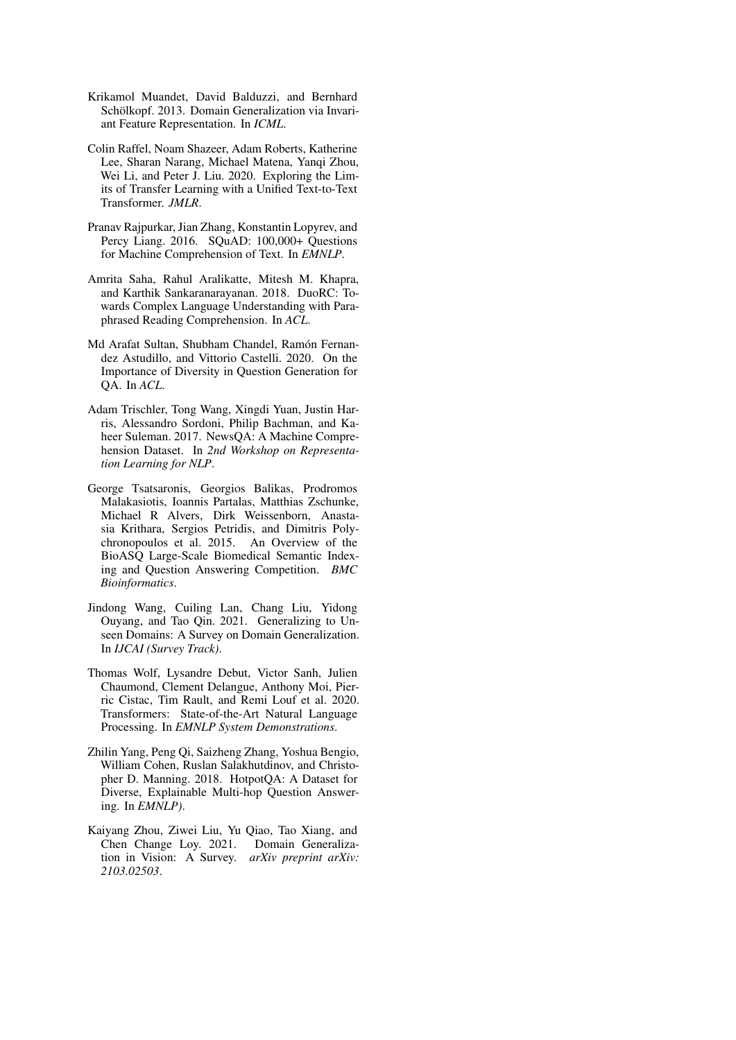- <span id="page-5-0"></span>Krikamol Muandet, David Balduzzi, and Bernhard Schölkopf. 2013. Domain Generalization via Invariant Feature Representation. In *ICML*.
- <span id="page-5-3"></span>Colin Raffel, Noam Shazeer, Adam Roberts, Katherine Lee, Sharan Narang, Michael Matena, Yanqi Zhou, Wei Li, and Peter J. Liu. 2020. Exploring the Limits of Transfer Learning with a Unified Text-to-Text Transformer. *JMLR*.
- <span id="page-5-6"></span>Pranav Rajpurkar, Jian Zhang, Konstantin Lopyrev, and Percy Liang. 2016. SQuAD: 100,000+ Questions for Machine Comprehension of Text. In *EMNLP*.
- <span id="page-5-10"></span>Amrita Saha, Rahul Aralikatte, Mitesh M. Khapra, and Karthik Sankaranarayanan. 2018. DuoRC: Towards Complex Language Understanding with Paraphrased Reading Comprehension. In *ACL*.
- <span id="page-5-4"></span>Md Arafat Sultan, Shubham Chandel, Ramón Fernandez Astudillo, and Vittorio Castelli. 2020. On the Importance of Diversity in Question Generation for QA. In *ACL*.
- <span id="page-5-7"></span>Adam Trischler, Tong Wang, Xingdi Yuan, Justin Harris, Alessandro Sordoni, Philip Bachman, and Kaheer Suleman. 2017. NewsQA: A Machine Comprehension Dataset. In *2nd Workshop on Representation Learning for NLP*.
- <span id="page-5-9"></span>George Tsatsaronis, Georgios Balikas, Prodromos Malakasiotis, Ioannis Partalas, Matthias Zschunke, Michael R Alvers, Dirk Weissenborn, Anastasia Krithara, Sergios Petridis, and Dimitris Polychronopoulos et al. 2015. An Overview of the BioASQ Large-Scale Biomedical Semantic Indexing and Question Answering Competition. *BMC Bioinformatics*.
- <span id="page-5-1"></span>Jindong Wang, Cuiling Lan, Chang Liu, Yidong Ouyang, and Tao Qin. 2021. Generalizing to Unseen Domains: A Survey on Domain Generalization. In *IJCAI (Survey Track)*.
- <span id="page-5-5"></span>Thomas Wolf, Lysandre Debut, Victor Sanh, Julien Chaumond, Clement Delangue, Anthony Moi, Pierric Cistac, Tim Rault, and Remi Louf et al. 2020. Transformers: State-of-the-Art Natural Language Processing. In *EMNLP System Demonstrations*.
- <span id="page-5-8"></span>Zhilin Yang, Peng Qi, Saizheng Zhang, Yoshua Bengio, William Cohen, Ruslan Salakhutdinov, and Christopher D. Manning. 2018. HotpotQA: A Dataset for Diverse, Explainable Multi-hop Question Answering. In *EMNLP)*.
- <span id="page-5-2"></span>Kaiyang Zhou, Ziwei Liu, Yu Qiao, Tao Xiang, and Chen Change Loy. 2021. Domain Generalization in Vision: A Survey. *arXiv preprint arXiv: 2103.02503*.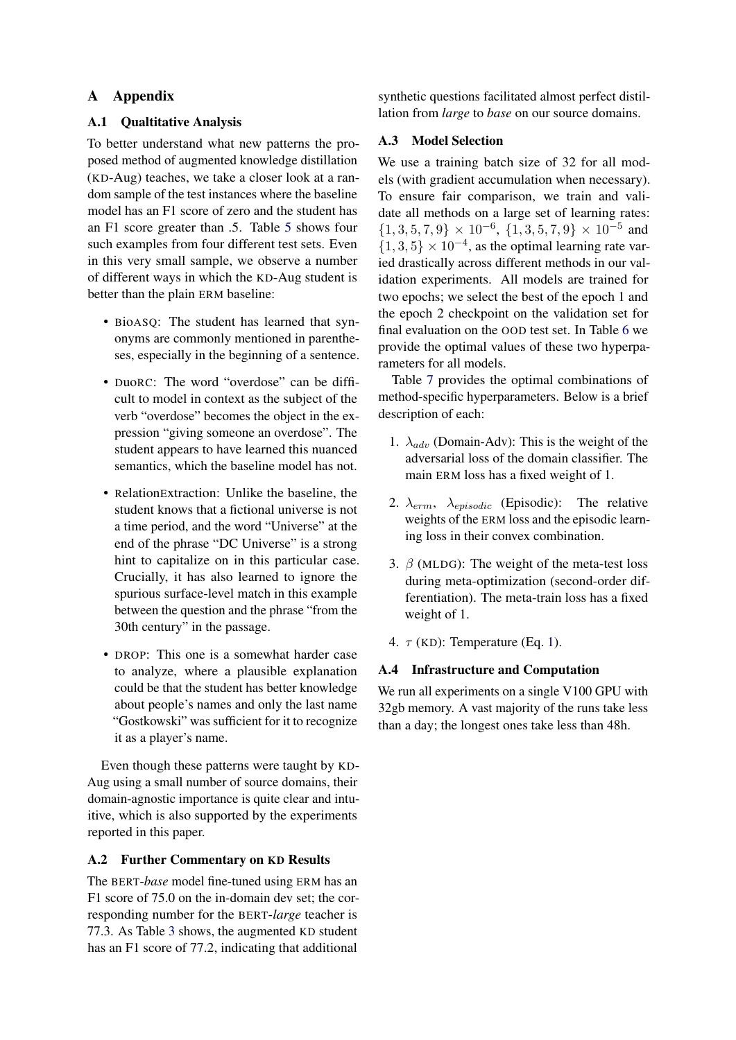# A Appendix

## A.1 Qualtitative Analysis

To better understand what new patterns the proposed method of augmented knowledge distillation (KD-Aug) teaches, we take a closer look at a random sample of the test instances where the baseline model has an F1 score of zero and the student has an F1 score greater than .5. Table [5](#page-7-0) shows four such examples from four different test sets. Even in this very small sample, we observe a number of different ways in which the KD-Aug student is better than the plain ERM baseline:

- BioASQ: The student has learned that synonyms are commonly mentioned in parentheses, especially in the beginning of a sentence.
- DuoRC: The word "overdose" can be difficult to model in context as the subject of the verb "overdose" becomes the object in the expression "giving someone an overdose". The student appears to have learned this nuanced semantics, which the baseline model has not.
- RelationExtraction: Unlike the baseline, the student knows that a fictional universe is not a time period, and the word "Universe" at the end of the phrase "DC Universe" is a strong hint to capitalize on in this particular case. Crucially, it has also learned to ignore the spurious surface-level match in this example between the question and the phrase "from the 30th century" in the passage.
- DROP: This one is a somewhat harder case to analyze, where a plausible explanation could be that the student has better knowledge about people's names and only the last name "Gostkowski" was sufficient for it to recognize it as a player's name.

Even though these patterns were taught by KD-Aug using a small number of source domains, their domain-agnostic importance is quite clear and intuitive, which is also supported by the experiments reported in this paper.

# A.2 Further Commentary on KD Results

The BERT-*base* model fine-tuned using ERM has an F1 score of 75.0 on the in-domain dev set; the corresponding number for the BERT-*large* teacher is 77.3. As Table [3](#page-3-0) shows, the augmented KD student has an F1 score of 77.2, indicating that additional

synthetic questions facilitated almost perfect distillation from *large* to *base* on our source domains.

## <span id="page-6-0"></span>A.3 Model Selection

We use a training batch size of 32 for all models (with gradient accumulation when necessary). To ensure fair comparison, we train and validate all methods on a large set of learning rates:  ${1, 3, 5, 7, 9} \times 10^{-6}, {1, 3, 5, 7, 9} \times 10^{-5}$  and  $\{1, 3, 5\} \times 10^{-4}$ , as the optimal learning rate varied drastically across different methods in our validation experiments. All models are trained for two epochs; we select the best of the epoch 1 and the epoch 2 checkpoint on the validation set for final evaluation on the OOD test set. In Table [6](#page-8-0) we provide the optimal values of these two hyperparameters for all models.

Table [7](#page-9-0) provides the optimal combinations of method-specific hyperparameters. Below is a brief description of each:

- 1.  $\lambda_{adv}$  (Domain-Adv): This is the weight of the adversarial loss of the domain classifier. The main ERM loss has a fixed weight of 1.
- 2.  $\lambda_{erm}$ ,  $\lambda_{episode}$  (Episodic): The relative weights of the ERM loss and the episodic learning loss in their convex combination.
- 3.  $\beta$  (MLDG): The weight of the meta-test loss during meta-optimization (second-order differentiation). The meta-train loss has a fixed weight of 1.
- 4.  $\tau$  (KD): Temperature (Eq. [1\)](#page-1-0).

# A.4 Infrastructure and Computation

We run all experiments on a single V100 GPU with 32gb memory. A vast majority of the runs take less than a day; the longest ones take less than 48h.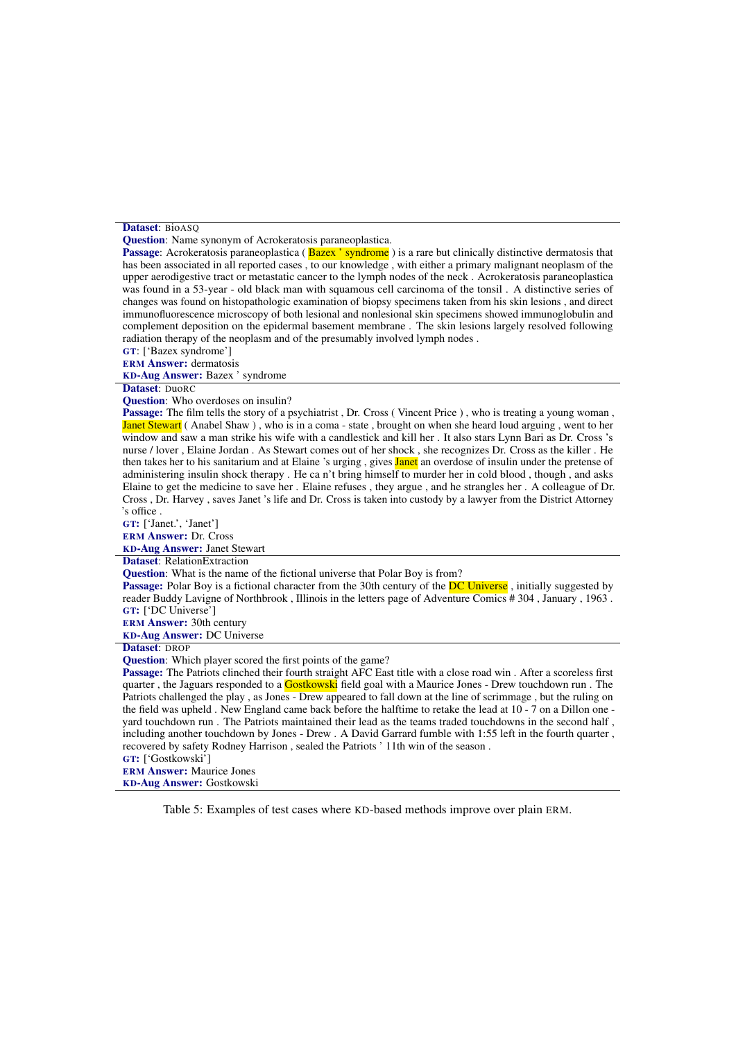#### <span id="page-7-0"></span>Dataset: BioASO

Question: Name synonym of Acrokeratosis paraneoplastica.

**Passage:** Acrokeratosis paraneoplastica (**Bazex** ' syndrome) is a rare but clinically distinctive dermatosis that has been associated in all reported cases , to our knowledge , with either a primary malignant neoplasm of the upper aerodigestive tract or metastatic cancer to the lymph nodes of the neck . Acrokeratosis paraneoplastica was found in a 53-year - old black man with squamous cell carcinoma of the tonsil . A distinctive series of changes was found on histopathologic examination of biopsy specimens taken from his skin lesions , and direct immunofluorescence microscopy of both lesional and nonlesional skin specimens showed immunoglobulin and complement deposition on the epidermal basement membrane . The skin lesions largely resolved following radiation therapy of the neoplasm and of the presumably involved lymph nodes .

GT: ['Bazex syndrome']

ERM Answer: dermatosis

KD-Aug Answer: Bazex ' syndrome

#### Dataset: DuoRC

Question: Who overdoses on insulin?

Passage: The film tells the story of a psychiatrist, Dr. Cross (Vincent Price), who is treating a young woman, Janet Stewart ( Anabel Shaw ), who is in a coma - state, brought on when she heard loud arguing, went to her window and saw a man strike his wife with a candlestick and kill her . It also stars Lynn Bari as Dr. Cross 's nurse / lover , Elaine Jordan . As Stewart comes out of her shock , she recognizes Dr. Cross as the killer . He then takes her to his sanitarium and at Elaine 's urging, gives **Janet** an overdose of insulin under the pretense of administering insulin shock therapy . He ca n't bring himself to murder her in cold blood , though , and asks Elaine to get the medicine to save her . Elaine refuses , they argue , and he strangles her . A colleague of Dr. Cross , Dr. Harvey , saves Janet 's life and Dr. Cross is taken into custody by a lawyer from the District Attorney 's office .

GT: ['Janet.', 'Janet']

ERM Answer: Dr. Cross

KD-Aug Answer: Janet Stewart

#### Dataset: RelationExtraction

Question: What is the name of the fictional universe that Polar Boy is from?

**Passage:** Polar Boy is a fictional character from the 30th century of the **DC Universe**, initially suggested by reader Buddy Lavigne of Northbrook , Illinois in the letters page of Adventure Comics # 304 , January , 1963 . GT: ['DC Universe']

ERM Answer: 30th century

KD-Aug Answer: DC Universe

#### Dataset: DROP

Question: Which player scored the first points of the game?

Passage: The Patriots clinched their fourth straight AFC East title with a close road win. After a scoreless first quarter, the Jaguars responded to a **Gostkowski** field goal with a Maurice Jones - Drew touchdown run. The Patriots challenged the play , as Jones - Drew appeared to fall down at the line of scrimmage , but the ruling on the field was upheld . New England came back before the halftime to retake the lead at 10 - 7 on a Dillon one yard touchdown run . The Patriots maintained their lead as the teams traded touchdowns in the second half , including another touchdown by Jones - Drew . A David Garrard fumble with 1:55 left in the fourth quarter , recovered by safety Rodney Harrison , sealed the Patriots ' 11th win of the season .

## GT: ['Gostkowski']

ERM Answer: Maurice Jones KD-Aug Answer: Gostkowski

Table 5: Examples of test cases where KD-based methods improve over plain ERM.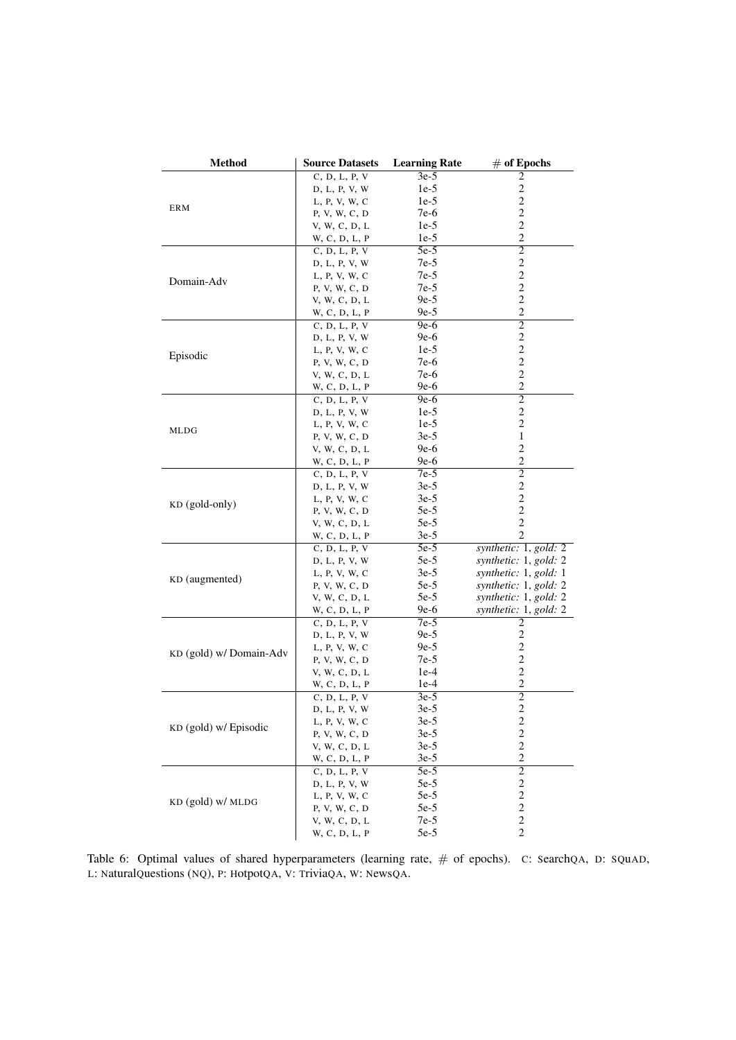<span id="page-8-0"></span>

| <b>Method</b>           | <b>Source Datasets</b> | <b>Learning Rate</b> | $\#$ of Epochs          |  |
|-------------------------|------------------------|----------------------|-------------------------|--|
|                         | C, D, L, P, V          | $3e-5$               | 2                       |  |
|                         | D, L, P, V, W          | $1e-5$               | $\overline{c}$          |  |
|                         | L, P, V, W, C          | $1e-5$               | $\overline{\mathbf{c}}$ |  |
| ERM                     | P, V, W, C, D          | 7e-6                 | 2                       |  |
|                         | V, W, C, D, L          | $1e-5$               | $\overline{c}$          |  |
|                         | W, C, D, L, P          | $1e-5$               | 2                       |  |
|                         | C, D, L, P, V          | $5e-5$               | $\overline{2}$          |  |
|                         | D, L, P, V, W          | 7e-5                 | $\boldsymbol{2}$        |  |
| Domain-Adv              | L, P, V, W, C          | 7e-5                 | $\overline{\mathbf{c}}$ |  |
|                         | P, V, W, C, D          | 7e-5                 | $\overline{c}$          |  |
|                         | V, W, C, D, L          | $9e-5$               | $\sqrt{2}$              |  |
|                         | W, C, D, L, P          | $9e-5$               | $\overline{c}$          |  |
|                         | C, D, L, P, V          | $9e-6$               | $\overline{2}$          |  |
|                         | D, L, P, V, W          | 9e-6                 | $\overline{c}$          |  |
| Episodic                | L, P, V, W, C          | $1e-5$               | $\overline{\mathbf{c}}$ |  |
|                         | P, V, W, C, D          | 7e-6                 | $\sqrt{2}$              |  |
|                         | V, W, C, D, L          | 7e-6                 | $\sqrt{2}$              |  |
|                         | W, C, D, L, P          | 9e-6                 | 2                       |  |
|                         | C, D, L, P, V          | $9e-6$               | $\overline{2}$          |  |
|                         | D, L, P, V, W          | $1e-5$               | $\overline{c}$          |  |
|                         | L, P, V, W, C          | $1e-5$               | $\overline{\mathbf{c}}$ |  |
| MLDG                    | P, V, W, C, D          | $3e-5$               | 1                       |  |
|                         | V, W, C, D, L          | 9e-6                 | $\overline{c}$          |  |
|                         | W, C, D, L, P          | 9e-6                 | 2                       |  |
|                         | C, D, L, P, V          | 7e-5                 | $\overline{2}$          |  |
|                         | D, L, P, V, W          | $3e-5$               | $\boldsymbol{2}$        |  |
|                         | L, P, V, W, C          | $3e-5$               | $\overline{c}$          |  |
| $KD$ (gold-only)        | P, V, W, C, D          | $5e-5$               | $\mathbf{2}$            |  |
|                         | V, W, C, D, L          | $5e-5$               | $\overline{2}$          |  |
|                         | W, C, D, L, P          | $3e-5$               | 2                       |  |
|                         | C, D, L, P, V          | $5e-5$               | synthetic: 1, gold: 2   |  |
|                         | D, L, P, V, W          | $5e-5$               | synthetic: $1, gold: 2$ |  |
|                         | L, P, V, W, C          | $3e-5$               | synthetic: $1, gold: 1$ |  |
| KD (augmented)          | P, V, W, C, D          | $5e-5$               | synthetic: $1, gold: 2$ |  |
|                         | V, W, C, D, L          | $5e-5$               | synthetic: $1, gold: 2$ |  |
|                         | W, C, D, L, P          | 9e-6                 | synthetic: 1, gold: 2   |  |
|                         | C, D, L, P, V          | $7e-5$               | 2                       |  |
|                         | D, L, P, V, W          | 9e-5                 | $\sqrt{2}$              |  |
| KD (gold) w/ Domain-Adv | L, P, V, W, C          | $9e-5$               | $\overline{c}$          |  |
|                         | P, V, W, C, D          | $7e-5$               | $\sqrt{2}$              |  |
|                         | V, W, C, D, L          | $1e-4$               | $\sqrt{2}$              |  |
|                         | W, C, D, L, P          | $1e-4$               | 2                       |  |
|                         | C, D, L, P, V          | $3e-5$               | 2                       |  |
|                         | D, L, P, V, W          | $3e-5$               | $\overline{\mathbf{c}}$ |  |
| KD (gold) w/ Episodic   | L, P, V, W, C          | $3e-5$               | $\overline{\mathbf{c}}$ |  |
|                         | P, V, W, C, D          | $3e-5$               | $\overline{c}$          |  |
|                         | V, W, C, D, L          | $3e-5$               | $\overline{c}$          |  |
|                         | W, C, D, L, P          | $3e-5$               | $\mathbf{2}$            |  |
|                         | C, D, L, P, V          | $5e-5$               | $\overline{2}$          |  |
|                         | D, L, P, V, W          | $5e-5$               | $\overline{\mathbf{c}}$ |  |
| KD (gold) w/ MLDG       | L, P, V, W, C          | $5e-5$               | $\overline{c}$          |  |
|                         | P, V, W, C, D          | $5e-5$               | $\sqrt{2}$              |  |
|                         | V, W, C, D, L          | $7e-5$               | $\overline{c}$          |  |
|                         | W, C, D, L, P          | $5e-5$               | $\overline{2}$          |  |

Table 6: Optimal values of shared hyperparameters (learning rate, # of epochs). C: SearchQA, D: SQuAD, L: NaturalQuestions (NQ), P: HotpotQA, V: TriviaQA, W: NewsQA.